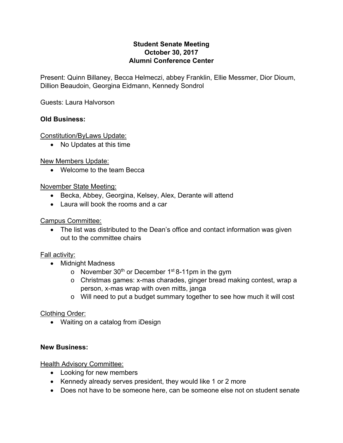## **Student Senate Meeting October 30, 2017 Alumni Conference Center**

Present: Quinn Billaney, Becca Helmeczi, abbey Franklin, Ellie Messmer, Dior Dioum, Dillion Beaudoin, Georgina Eidmann, Kennedy Sondrol

Guests: Laura Halvorson

## **Old Business:**

Constitution/ByLaws Update:

• No Updates at this time

New Members Update:

• Welcome to the team Becca

### November State Meeting:

- Becka, Abbey, Georgina, Kelsey, Alex, Derante will attend
- Laura will book the rooms and a car

Campus Committee:

 The list was distributed to the Dean's office and contact information was given out to the committee chairs

## Fall activity:

- Midnight Madness
	- o November  $30<sup>th</sup>$  or December 1<sup>st</sup> 8-11pm in the gym
	- o Christmas games: x-mas charades, ginger bread making contest, wrap a person, x-mas wrap with oven mitts, janga
	- o Will need to put a budget summary together to see how much it will cost

#### Clothing Order:

Waiting on a catalog from iDesign

#### **New Business:**

#### Health Advisory Committee:

- Looking for new members
- Kennedy already serves president, they would like 1 or 2 more
- Does not have to be someone here, can be someone else not on student senate